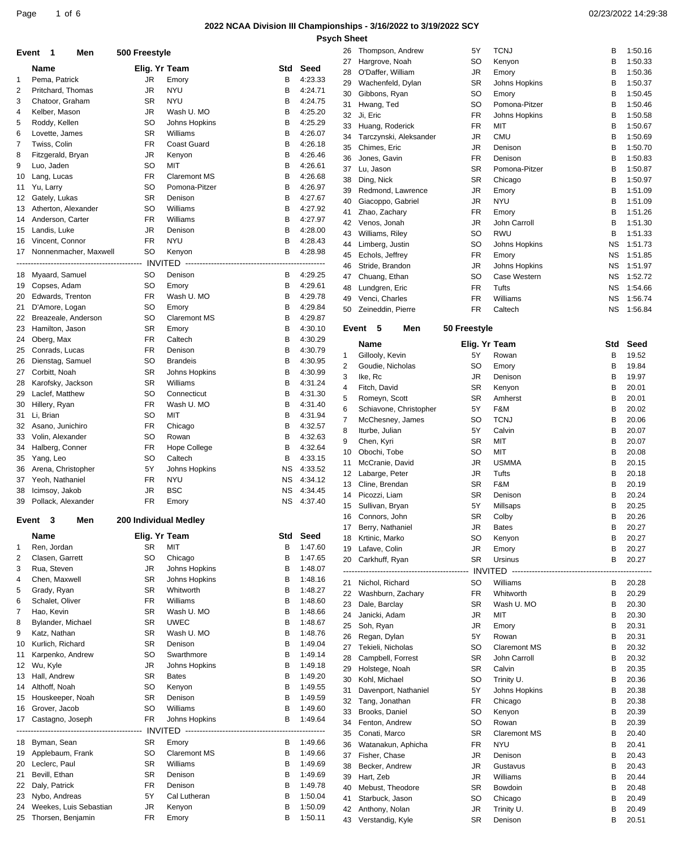### **2022 NCAA Division III Championships - 3/16/2022 to 3/19/2022 SCY**

| Page | , of $\epsilon$ | 02/23/2022 14:29:38 |
|------|-----------------|---------------------|
|------|-----------------|---------------------|

|          |                                         |                        |                            |           |                    | <b>Psych Sheet</b> |                                        |                        |                                     |                        |                    |
|----------|-----------------------------------------|------------------------|----------------------------|-----------|--------------------|--------------------|----------------------------------------|------------------------|-------------------------------------|------------------------|--------------------|
|          | Event 1<br>Men                          | 500 Freestyle          |                            |           |                    |                    | 26 Thompson, Andrew                    | 5Y                     | <b>TCNJ</b>                         | В                      | 1:50.16            |
|          |                                         |                        |                            |           |                    | 27                 | Hargrove, Noah                         | SO                     | Kenyon                              | в                      | 1:50.33            |
|          | Name<br>Pema, Patrick                   | Elig. Yr Team<br>JR.   | Emory                      | Std<br>В  | Seed<br>4:23.33    | 28                 | O'Daffer, William                      | <b>JR</b>              | Emory                               | B                      | 1:50.36            |
| 1<br>2   | Pritchard, Thomas                       | JR                     | <b>NYU</b>                 | в         | 4:24.71            | 29                 | Wachenfeld, Dylan                      | <b>SR</b>              | Johns Hopkins                       | В                      | 1:50.37            |
| 3        | Chatoor, Graham                         | SR                     | <b>NYU</b>                 | B         | 4:24.75            | 30                 | Gibbons, Ryan                          | SO                     | Emory                               | в                      | 1:50.45            |
| 4        | Kelber, Mason                           | JR                     | Wash U. MO                 | в         | 4:25.20            | 31<br>32           | Hwang, Ted<br>Ji, Eric                 | SO<br>FR               | Pomona-Pitzer<br>Johns Hopkins      | В<br>В                 | 1:50.46<br>1:50.58 |
| 5        | Roddy, Kellen                           | <b>SO</b>              | Johns Hopkins              | в         | 4:25.29            | 33                 | Huang, Roderick                        | <b>FR</b>              | MIT                                 | в                      | 1:50.67            |
| 6        | Lovette, James                          | <b>SR</b>              | Williams                   | в         | 4:26.07            | 34                 | Tarczynski, Aleksander                 | <b>JR</b>              | <b>CMU</b>                          | в                      | 1:50.69            |
| 7        | Twiss, Colin                            | <b>FR</b>              | Coast Guard                | в         | 4:26.18            | 35                 | Chimes, Eric                           | <b>JR</b>              | Denison                             | В                      | 1:50.70            |
| 8        | Fitzgerald, Bryan                       | JR                     | Kenyon                     | в         | 4:26.46            | 36                 | Jones, Gavin                           | <b>FR</b>              | Denison                             | В                      | 1:50.83            |
| 9        | Luo, Jaden                              | <b>SO</b>              | MIT                        | в         | 4:26.61            | 37                 | Lu, Jason                              | <b>SR</b>              | Pomona-Pitzer                       | B                      | 1:50.87            |
| 10       | Lang, Lucas                             | FR                     | <b>Claremont MS</b>        | B         | 4:26.68            | 38                 | Ding, Nick                             | <b>SR</b>              | Chicago                             | В                      | 1:50.97            |
| 11       | Yu, Larry                               | <b>SO</b>              | Pomona-Pitzer              | в         | 4:26.97            | 39                 | Redmond, Lawrence                      | <b>JR</b>              | Emory                               | В                      | 1:51.09            |
| 12       | Gately, Lukas                           | <b>SR</b><br><b>SO</b> | Denison<br>Williams        | в<br>B    | 4:27.67<br>4:27.92 | 40                 | Giacoppo, Gabriel                      | <b>JR</b>              | <b>NYU</b>                          | в                      | 1:51.09            |
| 13<br>14 | Atherton, Alexander<br>Anderson, Carter | FR                     | Williams                   | в         | 4:27.97            | 41                 | Zhao, Zachary                          | FR                     | Emory                               | В                      | 1:51.26            |
| 15       | Landis, Luke                            | <b>JR</b>              | Denison                    | в         | 4:28.00            | 42                 | Venos, Jonah                           | <b>JR</b>              | John Carroll                        | В                      | 1:51.30            |
| 16       | Vincent, Connor                         | <b>FR</b>              | <b>NYU</b>                 | в         | 4:28.43            | 43                 | Williams, Riley                        | SO                     | <b>RWU</b>                          | B                      | 1:51.33            |
|          | 17 Nonnenmacher, Maxwell                | <b>SO</b>              | Kenyon                     | в         | 4:28.98            | 44                 | Limberg, Justin                        | SO                     | Johns Hopkins                       | ΝS                     | 1:51.73<br>1:51.85 |
|          |                                         |                        |                            |           |                    | 45<br>46           | Echols, Jeffrey<br>Stride, Brandon     | FR<br><b>JR</b>        | Emory<br>Johns Hopkins              | <b>NS</b><br><b>NS</b> | 1:51.97            |
| 18       | Myaard, Samuel                          | SO                     | Denison                    | В         | 4:29.25            | 47                 | Chuang, Ethan                          | SO                     | Case Western                        | ΝS                     | 1:52.72            |
| 19       | Copses, Adam                            | SO                     | Emory                      | в         | 4:29.61            | 48                 | Lundgren, Eric                         | FR                     | Tufts                               | <b>NS</b>              | 1:54.66            |
| 20       | Edwards, Trenton                        | <b>FR</b>              | Wash U. MO                 | в         | 4:29.78            | 49                 | Venci, Charles                         | <b>FR</b>              | Williams                            | <b>NS</b>              | 1:56.74            |
| 21       | D'Amore, Logan                          | SO                     | Emory                      | в         | 4:29.84            | 50                 | Zeineddin, Pierre                      | <b>FR</b>              | Caltech                             | ΝS                     | 1:56.84            |
| 22       | Breazeale, Anderson                     | <b>SO</b>              | <b>Claremont MS</b>        | в         | 4:29.87            |                    |                                        |                        |                                     |                        |                    |
| 23       | Hamilton, Jason                         | SR                     | Emory                      | в         | 4:30.10            |                    | Event 5<br>Men                         | 50 Freestyle           |                                     |                        |                    |
| 24       | Oberg, Max                              | <b>FR</b>              | Caltech                    | В         | 4:30.29            |                    | Name                                   | Elig. Yr Team          |                                     | Std                    | Seed               |
| 25       | Conrads, Lucas                          | <b>FR</b>              | Denison                    | в         | 4:30.79            | 1                  | Gillooly, Kevin                        | 5Y                     | Rowan                               | В                      | 19.52              |
| 26       | Dienstag, Samuel                        | <b>SO</b>              | <b>Brandeis</b>            | B         | 4:30.95            | 2                  | Goudie, Nicholas                       | SO                     | Emory                               | В                      | 19.84              |
| 27       | Corbitt, Noah                           | <b>SR</b>              | Johns Hopkins              | В         | 4:30.99            | 3                  | Ike, Rc                                | <b>JR</b>              | Denison                             | в                      | 19.97              |
| 28       | Karofsky, Jackson                       | <b>SR</b><br><b>SO</b> | Williams                   | в<br>B    | 4:31.24            | 4                  | Fitch, David                           | <b>SR</b>              | Kenyon                              | В                      | 20.01              |
| 29<br>30 | Laclef, Matthew<br>Hillery, Ryan        | <b>FR</b>              | Connecticut<br>Wash U. MO  | В         | 4:31.30<br>4:31.40 | 5                  | Romeyn, Scott                          | <b>SR</b>              | Amherst                             | В                      | 20.01              |
| 31       | Li, Brian                               | <b>SO</b>              | MIT                        | в         | 4:31.94            | 6                  | Schiavone, Christopher                 | 5Y                     | F&M                                 | в                      | 20.02              |
| 32       | Asano, Junichiro                        | FR                     | Chicago                    | B         | 4:32.57            | 7                  | McChesney, James                       | SO                     | <b>TCNJ</b>                         | В                      | 20.06              |
| 33       | Volin, Alexander                        | <b>SO</b>              | Rowan                      | В         | 4:32.63            | 8                  | Iturbe, Julian                         | 5Y                     | Calvin                              | В                      | 20.07              |
| 34       | Halberg, Conner                         | <b>FR</b>              | Hope College               | в         | 4:32.64            | 9                  | Chen, Kyri                             | <b>SR</b>              | MIT                                 | в                      | 20.07              |
| 35       | Yang, Leo                               | <b>SO</b>              | Caltech                    | в         | 4:33.15            | 10                 | Obochi, Tobe                           | SO                     | MIT                                 | В                      | 20.08              |
| 36       | Arena, Christopher                      | 5Y                     | Johns Hopkins              | <b>NS</b> | 4:33.52            | 11                 | McCranie, David<br>Labarge, Peter      | <b>JR</b><br><b>JR</b> | <b>USMMA</b><br>Tufts               | В                      | 20.15<br>20.18     |
| 37       | Yeoh, Nathaniel                         | <b>FR</b>              | <b>NYU</b>                 | NS        | 4:34.12            | 12<br>13           | Cline, Brendan                         | <b>SR</b>              | F&M                                 | В<br>B                 | 20.19              |
| 38       | Icimsoy, Jakob                          | <b>JR</b>              | <b>BSC</b>                 | ΝS        | 4:34.45            | 14                 | Picozzi, Liam                          | <b>SR</b>              | Denison                             | В                      | 20.24              |
|          | 39 Pollack, Alexander                   | FR                     | Emory                      | <b>NS</b> | 4:37.40            |                    | 15 Sullivan, Bryan                     | 5Y                     | Millsaps                            | в                      | 20.25              |
|          | Event 3<br>Men                          | 200 Individual Medley  |                            |           |                    | 16                 | Connors, John                          | SR                     | Colby                               | в                      | 20.26              |
|          |                                         |                        |                            |           |                    | 17                 | Berry, Nathaniel                       | <b>JR</b>              | <b>Bates</b>                        | В                      | 20.27              |
|          | Name                                    | Elig. Yr Team          |                            | Std       | Seed               | 18                 | Krtinic, Marko                         | <b>SO</b>              | Kenyon                              | B                      | 20.27              |
| 1        | Ren, Jordan                             | SR                     | MIT                        | в         | 1:47.60            | 19                 | Lafave, Colin                          | <b>JR</b>              | Emory                               | B                      | 20.27              |
| 2        | Clasen, Garrett                         | <b>SO</b>              | Chicago                    | B         | 1:47.65            | 20                 | Carkhuff, Ryan                         | <b>SR</b>              | Ursinus                             | в                      | 20.27              |
| 3        | Rua, Steven                             | JR                     | Johns Hopkins              | В         | 1:48.07            |                    |                                        |                        |                                     |                        | ---------          |
| 4        | Chen, Maxwell                           | SR<br>SR               | Johns Hopkins<br>Whitworth | в         | 1:48.16<br>1:48.27 | 21                 | Nichol, Richard                        | SO                     | Williams                            | В                      | 20.28              |
| 5<br>6   | Grady, Ryan<br>Schalet, Oliver          | <b>FR</b>              | Williams                   | В<br>B    | 1:48.60            | 22                 | Washburn, Zachary                      | FR                     | Whitworth                           | В                      | 20.29              |
| 7        | Hao, Kevin                              | SR                     | Wash U. MO                 | в         | 1:48.66            | 23                 | Dale, Barclay                          | <b>SR</b>              | Wash U. MO                          | в                      | 20.30              |
| 8        | Bylander, Michael                       | SR                     | <b>UWEC</b>                | В         | 1:48.67            | 24                 | Janicki, Adam                          | <b>JR</b>              | MIT                                 | В                      | 20.30              |
| 9        | Katz, Nathan                            | SR                     | Wash U. MO                 | B         | 1:48.76            | 25                 | Soh, Ryan                              | <b>JR</b>              | Emory                               | в                      | 20.31              |
| 10       | Kurlich, Richard                        | <b>SR</b>              | Denison                    | в         | 1:49.04            | 26                 | Regan, Dylan                           | 5Y                     | Rowan                               | В                      | 20.31              |
| 11       | Karpenko, Andrew                        | <b>SO</b>              | Swarthmore                 | В         | 1:49.14            | 27<br>28           | Tekieli, Nicholas<br>Campbell, Forrest | SO<br><b>SR</b>        | <b>Claremont MS</b><br>John Carroll | В<br>в                 | 20.32<br>20.32     |
| 12       | Wu, Kyle                                | JR                     | Johns Hopkins              | В         | 1:49.18            | 29                 | Holstege, Noah                         | SR                     | Calvin                              | В                      | 20.35              |
| 13       | Hall, Andrew                            | SR                     | <b>Bates</b>               | В         | 1:49.20            | 30                 | Kohl, Michael                          | <b>SO</b>              | Trinity U.                          | В                      | 20.36              |
| 14       | Althoff, Noah                           | <b>SO</b>              | Kenyon                     | В         | 1:49.55            | 31                 | Davenport, Nathaniel                   | 5Y                     | Johns Hopkins                       | В                      | 20.38              |
| 15       | Houskeeper, Noah                        | <b>SR</b>              | Denison                    | В         | 1:49.59            | 32                 | Tang, Jonathan                         | <b>FR</b>              | Chicago                             | В                      | 20.38              |
| 16       | Grover, Jacob                           | <b>SO</b>              | Williams                   | B         | 1:49.60            | 33                 | Brooks, Daniel                         | SO                     | Kenyon                              | В                      | 20.39              |
| 17       | Castagno, Joseph                        | <b>FR</b>              | Johns Hopkins              | в         | 1:49.64            | 34                 | Fenton, Andrew                         | <b>SO</b>              | Rowan                               | В                      | 20.39              |
|          |                                         |                        |                            |           |                    | 35                 | Conati, Marco                          | <b>SR</b>              | <b>Claremont MS</b>                 | в                      | 20.40              |
| 18       | Byman, Sean                             | SR                     | Emory                      | В         | 1:49.66            | 36                 | Watanakun, Aphicha                     | FR                     | <b>NYU</b>                          | В                      | 20.41              |
| 19       | Applebaum, Frank                        | SO                     | <b>Claremont MS</b>        | В         | 1:49.66            | 37                 | Fisher, Chase                          | <b>JR</b>              | Denison                             | В                      | 20.43              |
| 20       | Leclerc, Paul                           | SR                     | Williams                   | В         | 1:49.69            | 38                 | Becker, Andrew                         | <b>JR</b>              | Gustavus                            | в                      | 20.43              |
| 21       | Bevill, Ethan                           | SR                     | Denison                    | В         | 1:49.69            | 39                 | Hart, Zeb                              | <b>JR</b>              | Williams                            | В                      | 20.44              |
| 22       | Daly, Patrick                           | FR                     | Denison                    | В         | 1:49.78            | 40                 | Mebust, Theodore                       | SR                     | Bowdoin                             | В                      | 20.48              |
| 23       | Nybo, Andreas                           | 5Y                     | Cal Lutheran               | В         | 1:50.04            | 41                 | Starbuck, Jason                        | <b>SO</b>              | Chicago                             | В                      | 20.49              |
| 24       | Weekes, Luis Sebastian                  | JR                     | Kenyon                     | в         | 1:50.09            | 42                 | Anthony, Nolan                         | <b>JR</b>              | Trinity U.                          | В                      | 20.49              |
|          | 25 Thorsen, Benjamin                    | FR                     | Emory                      | в         | 1:50.11            |                    | 43 Verstandig, Kyle                    | SR                     | Denison                             | В                      | 20.51              |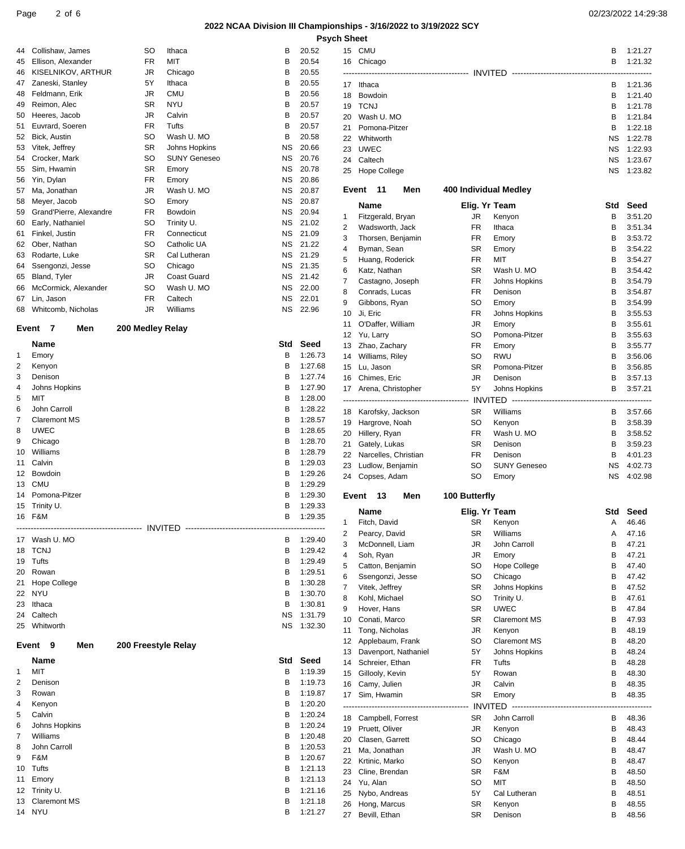### Page 2 of 6 02/23/2022 14:29:38

#### **2022 NCAA Division III Championships - 3/16/2022 to 3/19/2022 SCY Psych Sheet**

|  | <b>Psych She</b> |
|--|------------------|
|--|------------------|

|          |                                      |                     |                                  | 2022 NCAA Division III Champ |                    |
|----------|--------------------------------------|---------------------|----------------------------------|------------------------------|--------------------|
|          |                                      |                     |                                  |                              | Ps                 |
| 44       | Collishaw, James                     | SO                  | Ithaca                           | В                            | 20.52              |
| 45       | Ellison, Alexander                   | <b>FR</b>           | MIT                              | В                            | 20.54              |
| 46       | KISELNIKOV, ARTHUR                   | JR                  | Chicago                          | В                            | 20.55              |
| 47       | Zaneski, Stanley                     | 5Υ                  | Ithaca                           | В                            | 20.55              |
| 48       | Feldmann, Erik                       | JR.                 | CMU                              | В                            | 20.56              |
| 49       | Reimon, Alec                         | SR                  | <b>NYU</b>                       | В                            | 20.57              |
| 50       | Heeres, Jacob                        | JR<br><b>FR</b>     | Calvin<br>Tufts                  | В<br>В                       | 20.57              |
| 51<br>52 | Euvrard, Soeren<br>Bick, Austin      | SO                  | Wash U. MO                       | В                            | 20.57<br>20.58     |
| 53       | Vitek, Jeffrey                       | SR                  | Johns Hopkins                    | ΝS                           | 20.66              |
| 54       | Crocker, Mark                        | SO                  | <b>SUNY Geneseo</b>              | ΝS                           | 20.76              |
| 55       | Sim, Hwamin                          | <b>SR</b>           | Emory                            | NS.                          | 20.78              |
| 56       | Yin, Dylan                           | <b>FR</b>           | Emory                            | ΝS                           | 20.86              |
| 57       | Ma, Jonathan                         | JR                  | Wash U. MO                       | ΝS                           | 20.87              |
| 58       | Meyer, Jacob                         | SO                  | Emory                            | ΝS                           | 20.87              |
| 59       | Grand'Pierre, Alexandre              | <b>FR</b>           | Bowdoin                          | ΝS                           | 20.94              |
| 60       | Early, Nathaniel                     | SO                  | Trinity U.                       | ΝS                           | 21.02              |
| 61       | Finkel, Justin                       | <b>FR</b>           | Connecticut                      | ΝS                           | 21.09              |
| 62       | Ober, Nathan                         | SO                  | Catholic UA                      | ΝS                           | 21.22              |
| 63       | Rodarte, Luke                        | SR                  | Cal Lutheran                     | ΝS                           | 21.29              |
| 64       | Ssengonzi, Jesse                     | SO                  | Chicago                          | ΝS                           | 21.35              |
| 65<br>66 | Bland, Tyler<br>McCormick, Alexander | JR.<br>SO           | <b>Coast Guard</b><br>Wash U. MO | NS.<br>ΝS                    | 21.42<br>22.00     |
| 67       | Lin, Jason                           | <b>FR</b>           | Caltech                          | ΝS                           | 22.01              |
| 68       | Whitcomb, Nicholas                   | JR.                 | Williams                         | ΝS                           | 22.96              |
|          |                                      |                     |                                  |                              |                    |
|          | Event<br>7<br>Men                    | 200 Medley Relay    |                                  |                              |                    |
|          | Name                                 |                     |                                  | Std                          | Seed               |
| 1        | Emory                                |                     |                                  | В                            | 1:26.73            |
| 2        | Kenyon                               |                     |                                  | B                            | 1:27.68            |
| 3        | Denison                              |                     |                                  | В                            | 1:27.74            |
| 4        | Johns Hopkins                        |                     |                                  | В                            | 1:27.90            |
| 5        | <b>MIT</b>                           |                     |                                  | В<br>В                       | 1:28.00            |
| 6<br>7   | John Carroll<br><b>Claremont MS</b>  |                     |                                  | В                            | 1:28.22<br>1:28.57 |
| 8        | <b>UWEC</b>                          |                     |                                  | В                            | 1:28.65            |
| 9        | Chicago                              |                     |                                  | В                            | 1:28.70            |
| 10       | Williams                             |                     |                                  | В                            | 1:28.79            |
| 11       | Calvin                               |                     |                                  | В                            | 1:29.03            |
| 12       | Bowdoin                              |                     |                                  | В                            | 1:29.26            |
| 13       | <b>CMU</b>                           |                     |                                  | В                            | 1:29.29            |
| 14       | Pomona-Pitzer                        |                     |                                  | B                            | 1:29.30            |
| 15       | Trinity U.                           |                     |                                  | В                            | 1:29.33            |
|          | 16 F&M                               |                     |                                  | В                            | 1:29.35            |
|          | 17 Wash U. MO                        |                     |                                  | в                            | 1:29.40            |
| 18       | <b>TCNJ</b>                          |                     |                                  | В                            | 1:29.42            |
|          | 19 Tufts                             |                     |                                  | В                            | 1:29.49            |
|          | 20 Rowan                             |                     |                                  | В                            | 1:29.51            |
| 21       | Hope College                         |                     |                                  | В                            | 1:30.28            |
|          | 22 NYU                               |                     |                                  | В                            | 1:30.70            |
| 23       | Ithaca                               |                     |                                  | В                            | 1:30.81            |
| 24       | Caltech                              |                     |                                  | NS.                          | 1:31.79            |
| 25       | Whitworth                            |                     |                                  | ΝS                           | 1:32.30            |
|          | Event<br>9<br>Men                    | 200 Freestyle Relay |                                  |                              |                    |
|          | Name                                 |                     |                                  | Std                          | Seed               |
| 1        | MIT                                  |                     |                                  | в                            | 1:19.39            |
| 2        | Denison                              |                     |                                  | В                            | 1:19.73            |
| 3        | Rowan                                |                     |                                  | В                            | 1:19.87            |
| 4        | Kenyon                               |                     |                                  | В                            | 1:20.20            |
| 5        | Calvin                               |                     |                                  | В                            | 1:20.24            |
| 6        | Johns Hopkins                        |                     |                                  | В<br>В                       | 1:20.24            |
| 7<br>8   | Williams<br>John Carroll             |                     |                                  | B                            | 1:20.48<br>1:20.53 |
| 9        |                                      |                     |                                  |                              |                    |
|          |                                      |                     |                                  | В                            |                    |
| 10       | F&M<br>Tufts                         |                     |                                  | В                            | 1:20.67<br>1:21.13 |

12 Trinity U. B 1:21.16 13 Claremont MS B 1:21.18 NYU B 1:21.27

| 15<br>16                   | <b>CMU</b><br>Chicago |                       |                                           | в<br>В | 1:21.27<br>1:21.32 |
|----------------------------|-----------------------|-----------------------|-------------------------------------------|--------|--------------------|
| 17                         | Ithaca                |                       |                                           | В      | 1:21.36            |
| 18                         | Bowdoin               |                       |                                           | В      | 1:21.40            |
| 19                         | <b>TCNJ</b>           |                       |                                           | В      | 1:21.78            |
| 20                         | Wash U. MO            |                       |                                           | В      | 1:21.84            |
| 21                         | Pomona-Pitzer         |                       |                                           | В      | 1:22.18            |
| 22                         | Whitworth             |                       |                                           | ΝS     | 1:22.78            |
|                            | <b>UWEC</b>           |                       |                                           | NS     | 1:22.93            |
| 23<br>24                   | Caltech               |                       |                                           | ΝS     | 1:23.67            |
| 25                         | Hope College          |                       |                                           | NS     | 1:23.82            |
| Event                      | 11<br>Men             | 400 Individual Medley |                                           |        |                    |
|                            | Name                  | Elig. Yr Team         |                                           | Std    | Seed               |
| 1                          | Fitzgerald, Bryan     | JR                    | Kenyon                                    | В      | 3:51.20            |
| 2                          | Wadsworth, Jack       | <b>FR</b>             | Ithaca                                    | В      | 3:51.34            |
| 3                          | Thorsen, Benjamin     | FR                    | Emory                                     | В      | 3:53.72            |
| 4                          | Byman, Sean           | SR                    | Emory                                     | в      | 3:54.22            |
| 5                          | Huang, Roderick       | <b>FR</b>             | MIT                                       | В      | 3:54.27            |
| 6                          | Katz, Nathan          | <b>SR</b>             | Wash U. MO                                | В      | 3:54.42            |
| 7                          | Castagno, Joseph      | FR                    | Johns Hopkins                             | в      | 3:54.79            |
| 8                          | Conrads, Lucas        | FR                    | Denison                                   | В      | 3:54.87            |
| 9                          |                       | SO                    |                                           | В      | 3:54.99            |
|                            | Gibbons, Ryan         |                       | Emory                                     |        |                    |
| 10                         | Ji, Eric              | FR                    | Johns Hopkins                             | В      | 3:55.53            |
| 11                         | O'Daffer, William     | JR                    | Emory                                     | В      | 3:55.61            |
| 12                         | Yu, Larry             | SO                    | Pomona-Pitzer                             | в      | 3:55.63            |
| 13                         | Zhao, Zachary         | FR                    | Emory                                     | В      | 3:55.77            |
| 14                         | Williams, Riley       | SO                    | <b>RWU</b>                                | в      | 3:56.06            |
| 15                         | Lu, Jason             | <b>SR</b>             | Pomona-Pitzer                             | В      | 3:56.85            |
| 16                         | Chimes, Eric          | JR                    | Denison                                   | В      | 3:57.13            |
| 17                         | Arena, Christopher    | 5Υ                    | Johns Hopkins                             | В      | 3:57.21            |
|                            |                       |                       |                                           |        |                    |
| 18                         | Karofsky, Jackson     | <b>SR</b>             | Williams                                  | В      | 3:57.66            |
| 19                         | Hargrove, Noah        | SO                    | Kenyon                                    | В      | 3:58.39            |
| 20                         | Hillery, Ryan         | FR                    | Wash U. MO                                | В      | 3:58.52            |
| 21                         | Gately, Lukas         | <b>SR</b>             | Denison                                   | В      | 3:59.23            |
| 22                         | Narcelles, Christian  | FR                    | Denison                                   | В      | 4:01.23            |
| 23                         | Ludlow, Benjamin      | SO                    | <b>SUNY Geneseo</b>                       | NS.    | 4:02.73            |
| 24                         | Copses, Adam          | SO                    | Emory                                     | ΝS     | 4:02.98            |
| Event                      | 13<br>Men             | 100 Butterfly         |                                           |        |                    |
|                            | Name                  | Elig. Yr Team         |                                           |        | <b>Std Seed</b>    |
| 1 $\overline{\phantom{a}}$ | Fitch, David          |                       | SR Kenyon                                 |        | A 46.46            |
| 2                          | Pearcy, David         | SR                    | Williams                                  | Α      | 47.16              |
| 3                          | McDonnell, Liam       | JR                    | John Carroll                              | В      | 47.21              |
| 4                          | Soh, Ryan             | JR                    | Emory                                     | В      | 47.21              |
| 5                          | Catton, Benjamin      | SO                    | Hope College                              | В      | 47.40              |
| 6                          | Ssengonzi, Jesse      | SO                    | Chicago                                   | В      | 47.42              |
| 7                          | Vitek, Jeffrey        | SR                    | Johns Hopkins                             | В      | 47.52              |
| 8                          | Kohl, Michael         | SO                    | Trinity U.                                | В      | 47.61              |
| 9                          | Hover, Hans           | SR                    | <b>UWEC</b>                               | В      | 47.84              |
| 10                         | Conati, Marco         | SR                    | <b>Claremont MS</b>                       | В      | 47.93              |
| 11                         | Tong, Nicholas        | JR.                   | Kenyon                                    | В      | 48.19              |
| 12                         | Applebaum, Frank      | SO                    | <b>Claremont MS</b>                       | В      | 48.20              |
| 13                         | Davenport, Nathaniel  | 5Υ                    | Johns Hopkins                             | В      | 48.24              |
| 14                         | Schreier, Ethan       | FR                    | Tufts                                     | в      | 48.28              |
| 15                         | Gillooly, Kevin       | 5Υ                    | Rowan                                     | В      | 48.30              |
| 16                         | Camy, Julien          | JR                    | Calvin                                    | в      | 48.35              |
| 17                         | Sim, Hwamin           | <b>SR</b>             | Emory                                     | в      | 48.35              |
|                            |                       |                       | INVITED --------------------------------- | -----  | ----------         |
|                            | 18 Campbell, Forrest  | <b>SR</b>             | John Carroll                              | В      | 48.36              |
| 19                         | Pruett, Oliver        | JR                    | Kenyon                                    | В      | 48.43              |
| 20                         | Clasen, Garrett       | SO                    | Chicago                                   | В      | 48.44              |
| 21                         | Ma, Jonathan          | JR                    | Wash U. MO                                | в      | 48.47              |
| 22                         | Krtinic, Marko        | SO                    | Kenyon                                    | в      | 48.47              |
| 23                         | Cline, Brendan        | SR                    | F&M                                       | в      | 48.50              |
| 24                         | Yu, Alan              | SO                    | MIT                                       | В      | 48.50              |
| 25                         | Nybo, Andreas         | 5Υ                    | Cal Lutheran                              | В      | 48.51              |
| 26                         | Hong, Marcus          | SR                    | Kenyon                                    | в      | 48.55              |
| 27                         | Bevill, Ethan         | SR                    | Denison                                   | в      | 48.56              |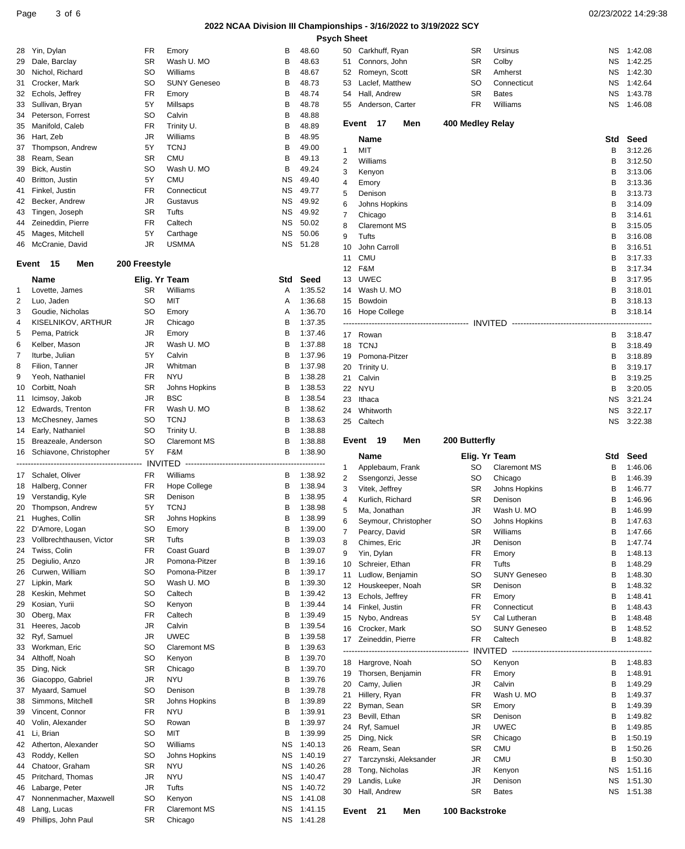## **2022 NCAA Division III Championships - 3/16/2022 to 3/19/2022 SCY**

| <b>Psych Sheet</b> |  |
|--------------------|--|
|--------------------|--|

| 28       | Yin, Dylan                         | FR            | Emory                              | в         | 48.60              |
|----------|------------------------------------|---------------|------------------------------------|-----------|--------------------|
| 29       | Dale, Barclay                      | SR            | Wash U. MO                         | В         | 48.63              |
| 30       | Nichol, Richard                    | SO            | Williams                           | В         | 48.67              |
| 31       | Crocker, Mark                      | SO            | <b>SUNY Geneseo</b>                | В         | 48.73              |
| 32       | Echols, Jeffrey                    | <b>FR</b>     | Emory                              | В         | 48.74              |
| 33       | Sullivan, Bryan                    | 5Y            | Millsaps                           | В         | 48.78              |
| 34       | Peterson, Forrest                  | SO            | Calvin                             | В         | 48.88              |
| 35       | Manifold, Caleb                    | <b>FR</b>     | Trinity U.                         | В         | 48.89              |
| 36       | Hart, Zeb                          | JR            | Williams                           | В         | 48.95              |
| 37       | Thompson, Andrew                   | 5Y            | TCNJ                               | В         | 49.00              |
| 38       | Ream, Sean                         | SR            | <b>CMU</b>                         | В         | 49.13              |
| 39<br>40 | Bick, Austin<br>Britton, Justin    | SO<br>5Y      | Wash U. MO<br>CMU                  | В<br>ΝS   | 49.24<br>49.40     |
| 41       | Finkel, Justin                     | <b>FR</b>     | Connecticut                        | ΝS        | 49.77              |
| 42       | Becker, Andrew                     | JR            | Gustavus                           | ΝS        | 49.92              |
| 43       | Tingen, Joseph                     | SR            | Tufts                              | ΝS        | 49.92              |
| 44       | Zeineddin, Pierre                  | <b>FR</b>     | Caltech                            | NS        | 50.02              |
| 45       | Mages, Mitchell                    | 5Y            | Carthage                           | ΝS        | 50.06              |
| 46       | McCranie, David                    | JR            | <b>USMMA</b>                       | ΝS        | 51.28              |
|          |                                    |               |                                    |           |                    |
| Event    | 15<br>Men                          | 200 Freestyle |                                    |           |                    |
|          | Name                               | Elig. Yr Team |                                    | Std       | Seed               |
| 1        | Lovette, James                     | SR            | Williams                           | A         | 1:35.52            |
| 2        | Luo, Jaden                         | SO            | MIT                                | A         | 1:36.68            |
| 3        | Goudie, Nicholas                   | SO            | Emory                              | A         | 1:36.70            |
| 4        | KISELNIKOV, ARTHUR                 | JR            | Chicago                            | В         | 1:37.35            |
| 5        | Pema, Patrick                      | JR            | Emory                              | в         | 1:37.46            |
| 6        | Kelber, Mason                      | JR            | Wash U. MO                         | В         | 1:37.88            |
| 7        | Iturbe, Julian                     | 5Y            | Calvin                             | В         | 1:37.96            |
| 8        | Filion, Tanner                     | JR            | Whitman                            | В         | 1:37.98            |
| 9        | Yeoh, Nathaniel                    | FR.           | <b>NYU</b>                         | В         | 1:38.28            |
| 10       | Corbitt, Noah                      | SR<br>JR.     | Johns Hopkins                      | В<br>В    | 1:38.53            |
| 11<br>12 | Icimsoy, Jakob<br>Edwards, Trenton | <b>FR</b>     | <b>BSC</b><br>Wash U. MO           | В         | 1:38.54<br>1:38.62 |
| 13       | McChesney, James                   | SO            | <b>TCNJ</b>                        | В         | 1:38.63            |
| 14       | Early, Nathaniel                   | SO            | Trinity U.                         | В         | 1:38.88            |
| 15       | Breazeale, Anderson                | SO            | <b>Claremont MS</b>                | В         | 1:38.88            |
| 16       | Schiavone, Christopher             | 5Y            | F&M                                | В         | 1:38.90            |
|          |                                    |               |                                    |           |                    |
| 17       | Schalet, Oliver                    | FR            | Williams                           | В         | 1:38.92            |
|          | 18 Halberg, Conner                 | FR            | <b>Hope College</b>                | В         | 1:38.94            |
| 19       | Verstandig, Kyle                   | SR            | Denison                            | В         | 1:38.95            |
| 20       | Thompson, Andrew                   | 5Y            | <b>TCNJ</b>                        | В         | 1:38.98            |
| 21       | Hughes, Collin                     | SR            | <b>Johns Hopkins</b>               | B         | 1:38.99            |
| 22       | D'Amore, Logan                     | SO            | Emory                              | В         | 1:39.00            |
| 23       | Vollbrechthausen, Victor           | SR            | Tufts                              | В         | 1:39.03            |
| 24       | Twiss, Colin                       | FR            | Coast Guard                        | В         | 1:39.07            |
| 25       | Degiulio, Anzo                     | JR            | Pomona-Pitzer                      | В         | 1:39.16            |
| 26       | Curwen, William                    | SO            | Pomona-Pitzer                      | В         | 1:39.17            |
| 27       | Lipkin, Mark                       | SO            | Wash U. MO                         | В         | 1:39.30            |
| 28       | Keskin, Mehmet                     | SO            | Caltech                            | В         | 1:39.42            |
| 29       | Kosian, Yurii                      | SO            | Kenyon                             | В         | 1:39.44            |
| 30       | Oberg, Max                         | FR            | Caltech                            | В         | 1:39.49            |
| 31       | Heeres, Jacob                      | JR            | Calvin                             | В         | 1:39.54            |
| 32<br>33 | Ryf, Samuel<br>Workman, Eric       | JR<br>SO      | <b>UWEC</b><br><b>Claremont MS</b> | В<br>В    | 1:39.58            |
| 34       | Althoff, Noah                      | SO            | Kenyon                             | В         | 1:39.63<br>1:39.70 |
| 35       | Ding, Nick                         | SR            | Chicago                            | В         | 1:39.70            |
| 36       | Giacoppo, Gabriel                  | JR            | <b>NYU</b>                         | В         | 1:39.76            |
| 37       | Myaard, Samuel                     | SO            | Denison                            | В         | 1:39.78            |
| 38       | Simmons, Mitchell                  | SR            | Johns Hopkins                      | В         | 1:39.89            |
| 39       | Vincent, Connor                    | <b>FR</b>     | NYU                                | В         | 1:39.91            |
| 40       | Volin, Alexander                   | SO            | Rowan                              | В         | 1:39.97            |
| 41       | Li, Brian                          | SO            | MIT                                | В         | 1:39.99            |
| 42       | Atherton, Alexander                | SO            | Williams                           | ΝS        | 1:40.13            |
| 43       | Roddy, Kellen                      | SO            | Johns Hopkins                      | ΝS        | 1:40.19            |
| 44       | Chatoor, Graham                    | SR            | NYU                                | ΝS        | 1:40.26            |
| 45       | Pritchard, Thomas                  | JR            | <b>NYU</b>                         | ΝS        | 1:40.47            |
| 46       | Labarge, Peter                     | JR            | Tufts                              | ΝS        | 1:40.72            |
| 47       | Nonnenmacher, Maxwell              | SO            | Kenyon                             | <b>NS</b> | 1:41.08            |
| 48       | Lang, Lucas                        | FR            | <b>Claremont MS</b>                | ΝS        | 1:41.15            |
| 49       | Phillips, John Paul                | SR            | Chicago                            | ΝS        | 1:41.28            |
|          |                                    |               |                                    |           |                    |

| 50       | Carkhuff, Ryan                       | SR               | Ursinus                     | ΝS     | 1:42.08            |
|----------|--------------------------------------|------------------|-----------------------------|--------|--------------------|
| 51       | Connors, John                        | SR               | Colby                       | ΝS     | 1:42.25            |
| 52       | Romeyn, Scott                        | SR               | Amherst                     | ΝS     | 1:42.30            |
| 53       | Laclef, Matthew                      | SO               | Connecticut                 | ΝS     | 1:42.64            |
| 54       | Hall, Andrew                         | SR               | <b>Bates</b>                | ΝS     | 1:43.78            |
| 55       | Anderson, Carter                     | FR               | Williams                    | ΝS     | 1:46.08            |
|          | Event<br>17<br>Men                   | 400 Medley Relay |                             |        |                    |
|          | <b>Name</b>                          |                  |                             | Std    | Seed               |
| 1        | <b>MIT</b>                           |                  |                             | В      | 3:12.26            |
| 2        | Williams                             |                  |                             | В      | 3:12.50            |
| 3        | Kenyon                               |                  |                             | В      | 3:13.06            |
| 4        | Emory                                |                  |                             | В      | 3:13.36            |
| 5        | Denison                              |                  |                             | В      | 3:13.73            |
| 6        | Johns Hopkins                        |                  |                             | В      | 3:14.09            |
| 7        | Chicago                              |                  |                             | В      | 3:14.61            |
| 8        | <b>Claremont MS</b>                  |                  |                             | В      | 3:15.05            |
| 9<br>10  | Tufts<br>John Carroll                |                  |                             | В<br>В | 3:16.08            |
| 11       | CMU                                  |                  |                             | В      | 3:16.51<br>3:17.33 |
| 12       | F&M                                  |                  |                             | В      | 3:17.34            |
| 13       | <b>UWEC</b>                          |                  |                             | В      | 3:17.95            |
| 14       | Wash U. MO                           |                  |                             | В      | 3:18.01            |
| 15       | Bowdoin                              |                  |                             | В      | 3:18.13            |
| 16       | Hope College                         |                  |                             | В      | 3:18.14            |
|          |                                      |                  |                             |        |                    |
| 17       | Rowan                                |                  |                             | В      | 3:18.47            |
| 18       | <b>TCNJ</b>                          |                  |                             | В      | 3:18.49            |
| 19       | Pomona-Pitzer                        |                  |                             | В      | 3:18.89            |
| 20<br>21 | Trinity U.<br>Calvin                 |                  |                             | В<br>в | 3:19.17            |
| 22       | NYU                                  |                  |                             | в      | 3:19.25<br>3:20.05 |
| 23       | Ithaca                               |                  |                             | ΝS     | 3:21.24            |
| 24       | Whitworth                            |                  |                             | ΝS     | 3:22.17            |
| 25       | Caltech                              |                  |                             | ΝS     | 3:22.38            |
|          |                                      |                  |                             |        |                    |
|          |                                      |                  |                             |        |                    |
| Event    | 19<br>Men                            | 200 Butterfly    |                             |        |                    |
|          | Name                                 | Elig. Yr Team    |                             | Std    | Seed               |
| 1        | Applebaum, Frank                     | SO               | <b>Claremont MS</b>         | В      | 1:46.06            |
| 2        | Ssengonzi, Jesse                     | SO               | Chicago                     | в      | 1:46.39            |
| 3        | Vitek, Jeffrey                       | SR               | Johns Hopkins               | В      | 1:46.77            |
| 4        | Kurlich, Richard                     | SR               | Denison<br>Wash U. MO       | В<br>В | 1:46.96<br>1:46.99 |
| 5<br>6   | Ma, Jonathan<br>Seymour, Christopher | JR<br>SO         |                             | В      | 1:47.63            |
| 7        | Pearcy, David                        | SR               | Johns Hopkins<br>Williams   | в      | 1:47.66            |
| 8        | Chimes, Eric                         | JR               | Denison                     | в      | 1:47.74            |
| 9        | Yin, Dylan                           | FR               | Emory                       | в      | 1:48.13            |
| 10       | Schreier, Ethan                      | FR               | Tufts                       | в      | 1:48.29            |
| 11       | Ludlow, Benjamin                     | SO               | <b>SUNY Geneseo</b>         | в      | 1:48.30            |
| 12       | Houskeeper, Noah                     | SR               | Denison                     | в      | 1:48.32            |
| 13       | Echols, Jeffrey                      | FR               | Emory                       | В      | 1:48.41            |
| 14<br>15 | Finkel, Justin                       | FR<br>5Υ         | Connecticut<br>Cal Lutheran | в<br>В | 1:48.43            |
| 16       | Nybo, Andreas<br>Crocker, Mark       | SO               | <b>SUNY Geneseo</b>         | в      | 1:48.48<br>1:48.52 |
| 17       | Zeineddin, Pierre                    | FR               | Caltech                     | в      | 1:48.82            |
|          |                                      |                  |                             |        |                    |
| 18       | Hargrove, Noah                       | SO               | Kenyon                      | в      | 1:48.83            |
| 19       | Thorsen, Benjamin                    | FR               | Emory                       | В      | 1:48.91            |
| 20       | Camy, Julien                         | JR               | Calvin                      | в      | 1:49.29            |
| 21       | Hillery, Ryan                        | FR               | Wash U. MO                  | В      | 1:49.37            |
| 22       | Byman, Sean                          | SR               | Emory                       | В      | 1:49.39            |
| 23<br>24 | Bevill, Ethan                        | SR               | Denison                     | в<br>В | 1:49.82            |
| 25       | Ryf, Samuel<br>Ding, Nick            | JR<br>SR         | <b>UWEC</b><br>Chicago      | в      | 1:49.85<br>1:50.19 |
| 26       | Ream, Sean                           | SR               | CMU                         | в      | 1:50.26            |
| 27       | Tarczynski, Aleksander               | JR               | CMU                         | в      | 1:50.30            |
| 28       | Tong, Nicholas                       | JR               | Kenyon                      | ΝS     | 1:51.16            |
| 29       | Landis, Luke                         | JR               | Denison                     | ΝS     | 1:51.30            |
| 30       | Hall, Andrew                         | SR               | <b>Bates</b>                | ΝS     | 1:51.38            |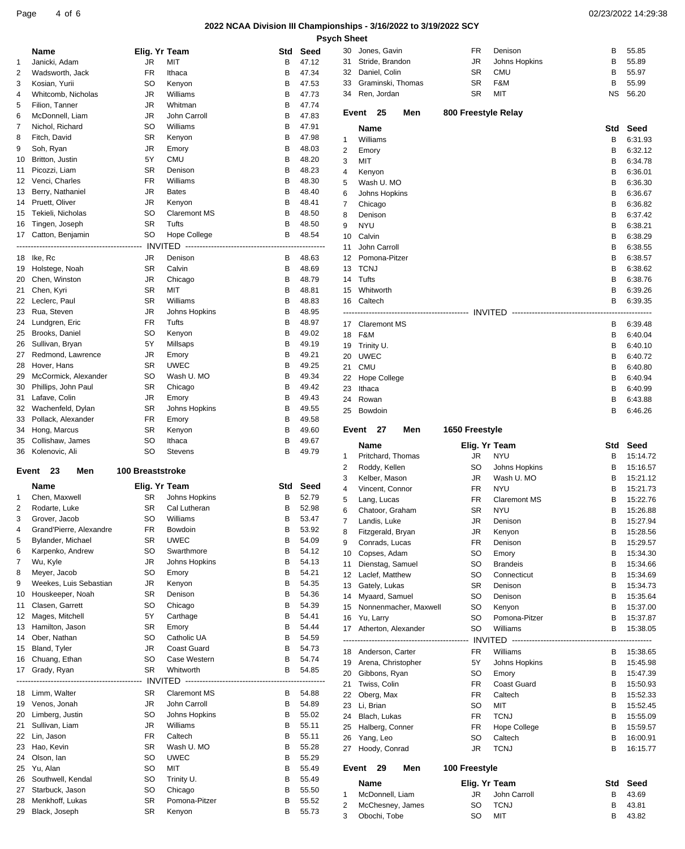### Page 4 of 6 02/23/2022 14:29:38

## **2022 NCAA Division III Championships - 3/16/2022 to 3/19/2022 SCY**

**h** Sheet

|                |                                         |                         |                                     |        | Psycl          |
|----------------|-----------------------------------------|-------------------------|-------------------------------------|--------|----------------|
|                | Name                                    | Elig. Yr Team           |                                     | Std    | Seed           |
| 1              | Janicki, Adam                           | JR                      | <b>MIT</b>                          | В      | 47.12          |
| 2              | Wadsworth, Jack                         | <b>FR</b>               | Ithaca                              | В      | 47.34          |
| 3              | Kosian, Yurii                           | SO                      | Kenyon                              | В      | 47.53          |
| 4              | Whitcomb, Nicholas                      | JR                      | Williams                            | В      | 47.73          |
| 5              | Filion, Tanner                          | JR                      | Whitman                             | В      | 47.74          |
| 6<br>7         | McDonnell, Liam<br>Nichol, Richard      | JR<br>SO                | John Carroll<br>Williams            | В<br>В | 47.83<br>47.91 |
| 8              | Fitch, David                            | SR                      | Kenyon                              | В      | 47.98          |
| 9              | Soh, Ryan                               | JR                      | Emory                               | В      | 48.03          |
| 10             | Britton, Justin                         | 5Y                      | <b>CMU</b>                          | В      | 48.20          |
| 11             | Picozzi, Liam                           | <b>SR</b>               | Denison                             | В      | 48.23          |
| 12             | Venci, Charles                          | <b>FR</b>               | Williams                            | В      | 48.30          |
| 13             | Berry, Nathaniel                        | JR                      | <b>Bates</b>                        | В      | 48.40          |
| 14             | Pruett, Oliver                          | JR                      | Kenyon                              | В      | 48.41          |
| 15             | Tekieli, Nicholas                       | SO                      | <b>Claremont MS</b>                 | В      | 48.50          |
| 16             | Tingen, Joseph                          | SR                      | Tufts                               | В      | 48.50          |
| 17             | Catton, Benjamin                        | SO                      | Hope College                        | В      | 48.54          |
| --------       | -------------------------------         |                         | <b>INVITED ----------</b>           |        | ---------      |
| 18             | lke, Rc<br>Holstege, Noah               | JR                      | Denison                             | В<br>В | 48.63          |
| 19<br>20       | Chen, Winston                           | SR<br>JR                | Calvin<br>Chicago                   | В      | 48.69<br>48.79 |
| 21             | Chen, Kyri                              | SR                      | MIT                                 | В      | 48.81          |
|                | 22 Leclerc, Paul                        | SR                      | Williams                            | В      | 48.83          |
| 23             | Rua, Steven                             | JR                      | Johns Hopkins                       | В      | 48.95          |
| 24             | Lundgren, Eric                          | <b>FR</b>               | Tufts                               | В      | 48.97          |
| 25             | Brooks, Daniel                          | SO                      | Kenyon                              | В      | 49.02          |
| 26             | Sullivan, Bryan                         | 5Y                      | Millsaps                            | В      | 49.19          |
| 27             | Redmond, Lawrence                       | JR                      | Emory                               | В      | 49.21          |
| 28             | Hover, Hans                             | SR                      | <b>UWEC</b>                         | В      | 49.25          |
| 29             | McCormick, Alexander                    | SO                      | Wash U. MO                          | В      | 49.34          |
| 30             | Phillips, John Paul                     | SR                      | Chicago                             | В      | 49.42          |
| 31             | Lafave, Colin                           | JR                      | Emory                               | В      | 49.43          |
| 32<br>33       | Wachenfeld, Dylan<br>Pollack, Alexander | SR<br>FR                | Johns Hopkins<br>Emory              | В<br>В | 49.55<br>49.58 |
| 34             | Hong, Marcus                            | SR                      | Kenyon                              | В      | 49.60          |
| 35             | Collishaw, James                        | SO                      | Ithaca                              | В      | 49.67          |
| 36             | Kolenovic, Ali                          | SO                      | Stevens                             | B      | 49.79          |
|                |                                         |                         |                                     |        |                |
| Event          | 23<br>Men                               | <b>100 Breaststroke</b> |                                     |        |                |
|                | Name                                    | Elig. Yr Team           |                                     | Std    | Seed           |
| 1              | Chen. Maxwell                           | SR                      | Johns Hopkins                       | В      | 52.79          |
| 2              | Rodarte, Luke                           | SR.                     | Cal Lutheran                        | B      | 52.98          |
| 3              | Grover, Jacob                           | SO                      | Williams                            | В      | 53.47          |
| $\overline{4}$ | Grand'Pierre, Alexandre                 | <b>FR</b>               | Bowdoin                             | В      | 53.92          |
| 5<br>6         | Bylander, Michael<br>Karpenko, Andrew   | SR                      | <b>UWEC</b>                         | В<br>В | 54.09          |
| 7              | Wu, Kyle                                | SO<br>JR                | Swarthmore<br>Johns Hopkins         | В      | 54.12<br>54.13 |
| 8              | Meyer, Jacob                            | SO                      | Emory                               | В      | 54.21          |
| 9              | Weekes, Luis Sebastian                  | JR                      | Kenyon                              | В      | 54.35          |
| 10             | Houskeeper, Noah                        | SR                      | Denison                             | В      | 54.36          |
| 11             | Clasen, Garrett                         | SO                      | Chicago                             | В      | 54.39          |
| 12             | Mages, Mitchell                         | 5Y                      | Carthage                            | В      | 54.41          |
| 13             | Hamilton, Jason                         | SR                      | Emory                               | В      | 54.44          |
| 14             | Ober, Nathan                            | SO                      | Catholic UA                         | В      | 54.59          |
| 15             | Bland, Tyler                            | JR                      | Coast Guard                         | В      | 54.73          |
| 16             | Chuang, Ethan                           | SO                      | Case Western                        | В      | 54.74          |
| 17             | Grady, Ryan                             | SR                      | Whitworth                           | В      | 54.85          |
|                |                                         |                         |                                     |        |                |
| 19             | 18 Limm, Walter<br>Venos, Jonah         | SR<br><b>JR</b>         | <b>Claremont MS</b><br>John Carroll | В<br>В | 54.88<br>54.89 |
| 20             | Limberg, Justin                         | SO                      | Johns Hopkins                       | В      | 55.02          |
| 21             | Sullivan, Liam                          | JR                      | Williams                            | В      | 55.11          |
| 22             | Lin, Jason                              | <b>FR</b>               | Caltech                             | В      | 55.11          |
| 23             | Hao, Kevin                              | SR                      | Wash U. MO                          | В      | 55.28          |
| 24             | Olson, lan                              | SO                      | <b>UWEC</b>                         | В      | 55.29          |
| 25             | Yu, Alan                                | SO                      | MIT                                 | В      | 55.49          |
| 26             | Southwell, Kendal                       | SO                      | Trinity U.                          | В      | 55.49          |
| 27             | Starbuck, Jason                         | SO                      | Chicago                             | В      | 55.50          |
| 28             | Menkhoff, Lukas<br>Black, Joseph        | SR<br>SR                | Pomona-Pitzer<br>Kenyon             | В<br>В | 55.52<br>55.73 |
| 29             |                                         |                         |                                     |        |                |

| 30       | Jones, Gavin                            | FR                  | Denison                                    | в      | 55.85                |
|----------|-----------------------------------------|---------------------|--------------------------------------------|--------|----------------------|
| 31       | Stride, Brandon                         | JR                  | Johns Hopkins                              | В      | 55.89                |
| 32       | Daniel, Colin                           | SR                  | CMU                                        | В      | 55.97                |
| 33       | Graminski, Thomas                       | SR                  | F&M                                        | В      | 55.99                |
| 34       | Ren, Jordan                             | SR                  | MIT                                        | ΝS     | 56.20                |
| Event    | 25<br>Men                               | 800 Freestyle Relay |                                            |        |                      |
|          |                                         |                     |                                            |        |                      |
|          | Name                                    |                     |                                            | Std    | Seed                 |
| 1<br>2   | Williams<br>Emory                       |                     |                                            | В<br>В | 6:31.93<br>6:32.12   |
| 3        | MIT                                     |                     |                                            | В      | 6:34.78              |
| 4        | Kenyon                                  |                     |                                            | В      | 6:36.01              |
| 5        | Wash U. MO                              |                     |                                            | В      | 6:36.30              |
| 6        | Johns Hopkins                           |                     |                                            | В      | 6:36.67              |
| 7        | Chicago                                 |                     |                                            | В      | 6:36.82              |
| 8        | Denison                                 |                     |                                            | В      | 6:37.42              |
| 9        | <b>NYU</b>                              |                     |                                            | В      | 6:38.21              |
| 10       | Calvin                                  |                     |                                            | В      | 6:38.29              |
| 11       | John Carroll                            |                     |                                            | В      | 6:38.55              |
| 12       | Pomona-Pitzer                           |                     |                                            | В      | 6:38.57              |
| 13<br>14 | <b>TCNJ</b><br>Tufts                    |                     |                                            | В<br>В | 6:38.62              |
| 15       | Whitworth                               |                     |                                            | В      | 6:38.76<br>6:39.26   |
| 16       | Caltech                                 |                     |                                            | В      | 6:39.35              |
|          |                                         |                     |                                            |        |                      |
| 17       | <b>Claremont MS</b>                     |                     |                                            | в      | 6:39.48              |
| 18       | F&M                                     |                     |                                            | В      | 6:40.04              |
| 19       | Trinity U.                              |                     |                                            | В      | 6:40.10              |
| 20       | <b>UWEC</b>                             |                     |                                            | В      | 6:40.72              |
| 21       | <b>CMU</b>                              |                     |                                            | В      | 6:40.80              |
| 22       | Hope College                            |                     |                                            | В      | 6:40.94              |
| 23       | Ithaca                                  |                     |                                            | В      | 6:40.99              |
| 24       | Rowan                                   |                     |                                            | В      | 6:43.88              |
| 25       | Bowdoin                                 |                     |                                            | В      | 6:46.26              |
| Event    | 27<br>Men                               | 1650 Freestyle      |                                            |        |                      |
|          |                                         |                     |                                            |        |                      |
|          |                                         |                     |                                            |        |                      |
|          | <b>Name</b>                             |                     | Elig. Yr Team                              | Std    | Seed                 |
| 1        | Pritchard, Thomas                       | <b>JR</b>           | <b>NYU</b>                                 | В      | 15:14.72             |
| 2<br>3   | Roddy, Kellen                           | SO<br>JR            | Johns Hopkins<br>Wash U. MO                | В<br>В | 15:16.57<br>15:21.12 |
| 4        | Kelber, Mason<br>Vincent, Connor        | FR.                 | <b>NYU</b>                                 | В      | 15:21.73             |
| 5        | Lang, Lucas                             | FR                  | <b>Claremont MS</b>                        | В      | 15:22.76             |
| 6        | Chatoor, Graham                         | SR                  | <b>NYU</b>                                 | в      | 15:26.88             |
| 7        | Landis, Luke                            | JR                  | Denison                                    | В      | 15:27.94             |
| 8        | Fitzgerald, Bryan                       | JR                  | Kenyon                                     | в      | 15:28.56             |
| 9        | Conrads, Lucas                          | FR                  | Denison                                    | в      | 15:29.57             |
| 10       | Copses, Adam                            | SO                  | Emory                                      | в      | 15:34.30             |
| 11       | Dienstag, Samuel                        | SO                  | <b>Brandeis</b>                            | В      | 15:34.66             |
| 12       | Laclef, Matthew                         | SO                  | Connecticut                                | в      | 15:34.69             |
| 13       | Gately, Lukas                           | SR                  | Denison                                    | в<br>В | 15:34.73             |
| 14<br>15 | Myaard, Samuel<br>Nonnenmacher, Maxwell | SO<br>SO            | Denison                                    | в      | 15:35.64<br>15:37.00 |
| 16       | Yu, Larry                               | SO                  | Kenyon<br>Pomona-Pitzer                    | в      | 15:37.87             |
| 17       | Atherton, Alexander                     | SO                  | Williams                                   | в      | 15:38.05             |
|          |                                         |                     | INVITED ---------------------------------- |        | ---------            |
| 18       | Anderson, Carter                        | FR                  | Williams                                   | В      | 15:38.65             |
| 19       | Arena, Christopher                      | 5Υ                  | Johns Hopkins                              | в      | 15:45.98             |
| 20       | Gibbons, Ryan                           | SO                  | Emory                                      | В      | 15:47.39             |
| 21       | Twiss, Colin                            | FR                  | Coast Guard                                | в      | 15:50.93             |
| 22       | Oberg, Max                              | FR                  | Caltech                                    | в      | 15:52.33             |
| 23       | Li, Brian                               | SO                  | MIT                                        | В      | 15:52.45             |
| 24       | Blach, Lukas                            | FR                  | <b>TCNJ</b>                                | в      | 15:55.09             |
| 25       | Halberg, Conner                         | FR                  | <b>Hope College</b><br>Caltech             | в<br>в | 15:59.57             |
| 26<br>27 | Yang, Leo<br>Hoody, Conrad              | SO<br>JR            | <b>TCNJ</b>                                | В      | 16:00.91<br>16:15.77 |
|          |                                         |                     |                                            |        |                      |
| Event    | 29<br>Men                               | 100 Freestyle       |                                            |        |                      |
|          | Name                                    |                     | Elig. Yr Team                              | Std    | Seed                 |
| 1        | McDonnell, Liam                         | JR                  | John Carroll                               | В      | 43.69                |
| 2<br>3   | McChesney, James<br>Obochi, Tobe        | SO<br>SO            | <b>TCNJ</b><br>MIT                         | в<br>В | 43.81<br>43.82       |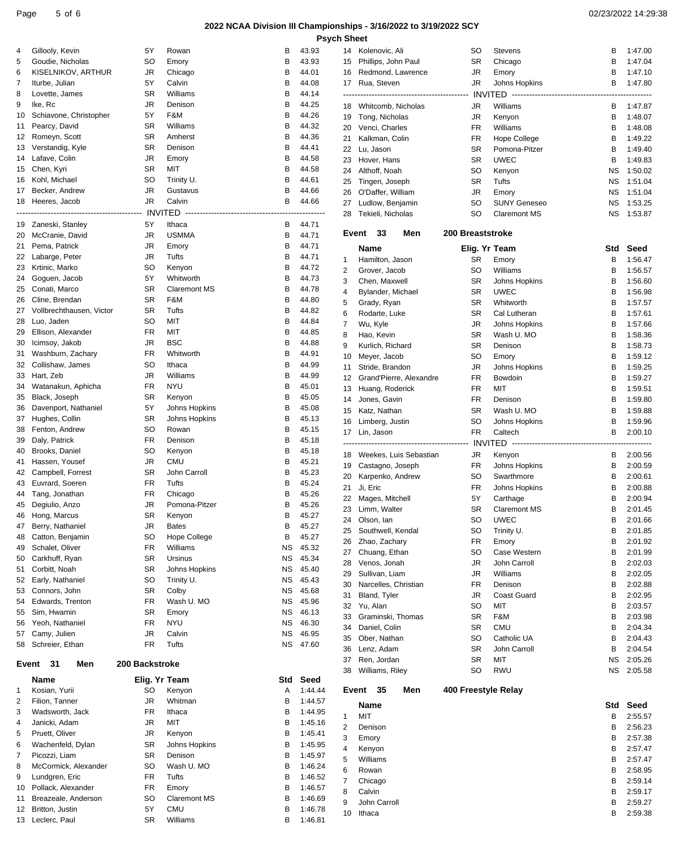# **2022 NCAA Division III Championships - 3/16/2022 to 3/19/2022 SCY**

|       |                                                 |                |                                          |           |           | <b>Psych Sheet</b>      |                 |
|-------|-------------------------------------------------|----------------|------------------------------------------|-----------|-----------|-------------------------|-----------------|
| 4     | Gillooly, Kevin                                 | 5Υ             | Rowan                                    | в         | 43.93     | 14                      | Koleno          |
| 5     | Goudie, Nicholas                                | SO             | Emory                                    | в         | 43.93     | 15                      | <b>Phillips</b> |
| 6     | KISELNIKOV, ARTHUR                              | JR             | Chicago                                  | в         | 44.01     | 16                      | Redmo           |
| 7     | Iturbe, Julian                                  | 5Y             | Calvin                                   | В         | 44.08     | 17                      | Rua, S          |
| 8     | Lovette, James                                  | SR             | Williams                                 | В         | 44.14     |                         |                 |
| 9     | Ike, Rc                                         | JR             | Denison                                  | В         | 44.25     | 18                      | Whitco          |
| 10    | Schiavone, Christopher                          | 5Y             | F&M                                      | в         | 44.26     | 19                      | Tong,           |
| 11    | Pearcy, David                                   | SR             | Williams                                 | в         | 44.32     | 20                      | Venci,          |
| 12    | Romeyn, Scott                                   | SR             | Amherst                                  | В         | 44.36     | 21                      | Kalkm           |
| 13    | Verstandig, Kyle                                | SR             | Denison                                  | в         | 44.41     | 22                      | Lu, Jas         |
| 14    | Lafave, Colin                                   | JR             | Emory                                    | В         | 44.58     | 23                      | Hover,          |
| 15    | Chen, Kyri                                      | SR             | MIT                                      | В         | 44.58     | 24                      | Althoff         |
| 16    | Kohl, Michael                                   | SO             | Trinity U.                               | в         | 44.61     | 25                      | Tinger          |
| 17    | Becker, Andrew                                  | JR             | Gustavus                                 | В         | 44.66     | 26                      | O'Daff          |
| 18    | Heeres, Jacob                                   | JR             | Calvin                                   | B         | 44.66     | 27                      | Ludlov          |
|       | ---------------------<br>---------------------- |                | INVITED -------------------------------- |           | --------- | 28                      | Tekieli         |
| 19    | Zaneski, Stanley                                | 5Y             | Ithaca                                   | В         | 44.71     |                         |                 |
| 20    | McCranie, David                                 | JR             | <b>USMMA</b>                             | в         | 44.71     | Event                   | 3               |
| 21    | Pema, Patrick                                   | JR             | Emory                                    | В         | 44.71     |                         | Name            |
| 22    | Labarge, Peter                                  | JR             | Tufts                                    | в         | 44.71     | $\mathbf{1}$            | Hamilt          |
| 23    | Krtinic, Marko                                  | SO             | Kenyon                                   | в         | 44.72     | $\overline{2}$          | Grover          |
| 24    | Goguen, Jacob                                   | 5Y             | Whitworth                                | В         | 44.73     | 3                       | Chen,           |
| 25    | Conati, Marco                                   | SR             | <b>Claremont MS</b>                      | в         | 44.78     | $\overline{4}$          | Bylanc          |
| 26    | Cline, Brendan                                  | SR             | F&M                                      | В         | 44.80     | 5                       | Grady,          |
| 27    | Vollbrechthausen, Victor                        | SR             | Tufts                                    | В         | 44.82     | 6                       | Rodart          |
| 28    | Luo, Jaden                                      | SO             | MIT                                      | В         | 44.84     | 7                       | Wu, Ky          |
| 29    | Ellison, Alexander                              | <b>FR</b>      | MIT                                      | в         | 44.85     | 8                       | Hao, K          |
| 30    | Icimsoy, Jakob                                  | JR             | <b>BSC</b>                               | В         | 44.88     | 9                       | Kurlich         |
| 31    | Washburn, Zachary                               | <b>FR</b>      | Whitworth                                | в         | 44.91     | 10                      | Meyer           |
| 32    | Collishaw, James                                | SO             | Ithaca                                   | в         | 44.99     | 11                      | Stride,         |
| 33    | Hart, Zeb                                       | JR             | Williams                                 | В         | 44.99     | 12                      | Grand           |
| 34    | Watanakun, Aphicha                              | FR             | <b>NYU</b>                               | в         | 45.01     | 13                      | Huang           |
| 35    | Black, Joseph                                   | SR             | Kenyon                                   | В         | 45.05     | 14                      | Jones,          |
| 36    | Davenport, Nathaniel                            | 5Y             | Johns Hopkins                            | В         | 45.08     | 15                      | Katz, N         |
| 37    | Hughes, Collin                                  | SR             | Johns Hopkins                            | В         | 45.13     | 16                      | Limber          |
| 38    | Fenton, Andrew                                  | SO             | Rowan                                    | В         | 45.15     | 17                      | Lin, Ja         |
| 39    | Daly, Patrick                                   | FR             | Denison                                  | В         | 45.18     |                         | -------------   |
| 40    | Brooks, Daniel                                  | SO             | Kenyon                                   | В         | 45.18     | 18                      | Weeke           |
| 41    | Hassen, Yousef                                  | JR             | <b>CMU</b>                               | В         | 45.21     | 19                      | Casta           |
| 42    | Campbell, Forrest                               | SR             | John Carroll                             | В         | 45.23     | 20                      | Karper          |
| 43    | Euvrard, Soeren                                 | <b>FR</b>      | Tufts                                    | В         | 45.24     | 21                      | Ji, Eric        |
| 44    | Tang, Jonathan                                  | FR             | Chicago                                  | В         | 45.26     | 22                      | Mages           |
| 45    | Degiulio, Anzo                                  | JR             | Pomona-Pitzer                            | В         | 45.26     | 23                      | Limm,           |
|       | 46 Hong, Marcus                                 | <b>SR</b>      | Kenyon                                   | В         | 45.27     | 24                      | Olson,          |
| 47    | Berry, Nathaniel                                | JR             | <b>Bates</b>                             | В         | 45.27     | 25                      | Southy          |
| 48    | Catton, Benjamin                                | SO             | Hope College                             | В         | 45.27     | 26                      | Zhao,           |
| 49    | Schalet, Oliver                                 | FR             | Williams                                 | <b>NS</b> | 45.32     | 27                      | Chuan           |
| 50    | Carkhuff, Ryan                                  | SR             | Ursinus                                  | ΝS        | 45.34     | 28                      | Venos           |
| 51    | Corbitt, Noah                                   | SR             | Johns Hopkins                            | ΝS        | 45.40     | 29                      | Sulliva         |
| 52    | Early, Nathaniel                                | SO             | Trinity U.                               | <b>NS</b> | 45.43     | 30                      | Narcel          |
| 53    | Connors, John                                   | SR             | Colby                                    | ΝS        | 45.68     | 31                      | Bland,          |
| 54    | Edwards, Trenton                                | FR             | Wash U. MO                               | ΝS        | 45.96     | 32                      | Yu, Ala         |
| 55    | Sim, Hwamin                                     | SR             | Emory                                    | ΝS        | 46.13     | 33                      | Grami           |
| 56    | Yeoh, Nathaniel                                 | FR             | <b>NYU</b>                               | ΝS        | 46.30     | 34                      | Daniel          |
| 57    | Camy, Julien                                    | JR             | Calvin                                   | ΝS        | 46.95     | 35                      | Ober,           |
| 58    | Schreier, Ethan                                 | FR             | Tufts                                    | <b>NS</b> | 47.60     | 36                      | Lenz,           |
|       |                                                 |                |                                          |           |           | 37                      | Ren, J          |
| Event | 31<br>Men                                       | 200 Backstroke |                                          |           |           | 38                      | Willian         |
|       | Name                                            | Elig. Yr Team  |                                          | Std       | Seed      |                         |                 |
| 1     | Kosian, Yurii                                   | SO             | Kenyon                                   | Α         | 1:44.44   | Event                   | 3               |
| 2     | Filion, Tanner                                  | JR             | Whitman                                  | В         | 1:44.57   |                         | Name            |
| 3     | Wadsworth, Jack                                 | FR             | Ithaca                                   | В         | 1:44.95   | 1                       | MIT             |
| 4     | Janicki, Adam                                   | JR             | MIT                                      | B         | 1:45.16   | $\overline{\mathbf{c}}$ |                 |
| 5     | Pruett, Oliver                                  | JR             | Kenyon                                   | В         | 1:45.41   | 3                       | Deniso          |
| 6     | Wachenfeld, Dylan                               | SR             | Johns Hopkins                            | В         | 1:45.95   | 4                       | Emory<br>Kenyo  |
| 7     | Picozzi, Liam                                   | SR             | Denison                                  | B         | 1:45.97   | 5                       | Willian         |
| 8     | McCormick, Alexander                            | SO             | Wash U. MO                               | В         | 1:46.24   | 6                       | Rowar           |
| 9     | Lundgren, Eric                                  | FR             | Tufts                                    | В         | 1:46.52   | 7                       | Chicag          |
| 10    | Pollack, Alexander                              | FR             | Emory                                    | B         | 1:46.57   | 8                       | Calvin          |
| 11    | Breazeale, Anderson                             | SO             | <b>Claremont MS</b>                      | В         | 1:46.69   | 9                       | John C          |
| 12    | Britton, Justin                                 | 5Υ             | CMU                                      | В         | 1:46.78   | 10                      | Ithaca          |
| 13    | Leclerc, Paul                                   | SR             | Williams                                 | B         | 1:46.81   |                         |                 |

| <b>Sheet</b> |                                            |                     |                               |        |                    |
|--------------|--------------------------------------------|---------------------|-------------------------------|--------|--------------------|
|              | 14 Kolenovic, Ali                          | SO                  | <b>Stevens</b>                | В      | 1:47.00            |
| 15           | Phillips, John Paul                        | SR                  | Chicago                       | В      | 1:47.04            |
| 16           | Redmond, Lawrence                          | JR                  | Emory                         | В      | 1:47.10            |
| 17           | Rua, Steven                                | JR                  | Johns Hopkins                 | В      | 1:47.80            |
|              |                                            |                     |                               |        |                    |
|              | 18 Whitcomb, Nicholas                      | JR                  | Williams                      | В      | 1:47.87            |
| 19<br>20     | Tong, Nicholas<br>Venci, Charles           | JR<br>FR            | Kenyon<br>Williams            | В<br>В | 1:48.07<br>1:48.08 |
| 21           | Kalkman, Colin                             | FR                  | Hope College                  | В      | 1:49.22            |
| 22           | Lu, Jason                                  | SR                  | Pomona-Pitzer                 | В      | 1:49.40            |
| 23           | Hover, Hans                                | SR                  | <b>UWEC</b>                   | В      | 1:49.83            |
| 24           | Althoff, Noah                              | SO                  | Kenyon                        | ΝS     | 1:50.02            |
| 25           | Tingen, Joseph                             | SR                  | Tufts                         | ΝS     | 1:51.04            |
| 26           | O'Daffer, William                          | JR                  | Emory                         | ΝS     | 1:51.04            |
| 27           | Ludlow, Benjamin                           | SO                  | <b>SUNY Geneseo</b>           | ΝS     | 1:53.25            |
| 28           | Tekieli, Nicholas                          | SO                  | <b>Claremont MS</b>           | ΝS     | 1:53.87            |
| Event        | 33<br>Men                                  | 200 Breaststroke    |                               |        |                    |
|              | Name                                       | Elig. Yr Team       |                               | Std    | Seed               |
| 1            | Hamilton, Jason                            | SR                  | Emory                         | В      | 1:56.47            |
| 2            | Grover, Jacob                              | SO                  | Williams                      | В      | 1:56.57            |
| 3            | Chen, Maxwell                              | SR                  | Johns Hopkins                 | В      | 1:56.60            |
| 4            | Bylander, Michael                          | SR                  | <b>UWEC</b>                   | В      | 1:56.98            |
| 5            | Grady, Ryan                                | SR                  | Whitworth                     | В      | 1:57.57            |
| 6            | Rodarte, Luke                              | SR                  | Cal Lutheran                  | В      | 1:57.61            |
| 7            | Wu, Kyle                                   | JR                  | Johns Hopkins                 | В      | 1:57.66            |
| 8            | Hao, Kevin                                 | SR                  | Wash U. MO                    | В      | 1:58.36            |
| 9            | Kurlich, Richard                           | SR                  | Denison                       | В      | 1:58.73            |
| 10<br>11     | Meyer, Jacob                               | SO<br>JR            | Emory                         | В<br>В | 1:59.12<br>1:59.25 |
| 12           | Stride, Brandon<br>Grand'Pierre, Alexandre | FR                  | Johns Hopkins<br>Bowdoin      | В      | 1:59.27            |
| 13           | Huang, Roderick                            | FR.                 | MIT                           | В      | 1:59.51            |
| 14           | Jones, Gavin                               | FR                  | Denison                       | в      | 1:59.80            |
| 15           | Katz, Nathan                               | SR                  | Wash U. MO                    | в      | 1:59.88            |
| 16           | Limberg, Justin                            | SO                  | Johns Hopkins                 | В      | 1:59.96            |
| 17           | Lin, Jason                                 | <b>FR</b>           | Caltech                       | В      | 2:00.10            |
|              |                                            |                     |                               |        |                    |
| 18           | Weekes, Luis Sebastian                     | JR                  | Kenyon                        | В      | 2:00.56            |
| 19           | Castagno, Joseph                           | FR                  | Johns Hopkins                 | В      | 2:00.59            |
| 20<br>21     | Karpenko, Andrew                           | SO<br>FR            | Swarthmore                    | в<br>В | 2:00.61            |
| 22           | Ji, Eric<br>Mages, Mitchell                | 5Y                  | Johns Hopkins<br>Carthage     | В      | 2:00.88<br>2:00.94 |
|              | 23 Limm, Walter                            | <b>SR</b>           | <b>Claremont MS</b>           | В      | 2:01.45            |
| 24           | Olson, lan                                 | SO                  | <b>UWEC</b>                   | В      | 2:01.66            |
| 25           | Southwell, Kendal                          | SO                  | Trinity U.                    | в      | 2:01.85            |
| 26           | Zhao, Zachary                              | FR                  | Emory                         | в      | 2:01.92            |
| 27           | Chuang, Ethan                              | SO                  | Case Western                  | В      | 2:01.99            |
| 28           | Venos, Jonah                               | JR                  | John Carroll                  | в      | 2:02.03            |
| 29           | Sullivan, Liam                             | JR                  | Williams                      | В      | 2:02.05            |
| 30<br>31     | Narcelles, Christian<br>Bland, Tyler       | FR<br>JR            | Denison<br><b>Coast Guard</b> | в<br>в | 2:02.88            |
| 32           | Yu, Alan                                   | SO                  | MIT                           | В      | 2:02.95<br>2:03.57 |
| 33           | Graminski, Thomas                          | SR                  | F&M                           | В      | 2:03.98            |
| 34           | Daniel, Colin                              | SR                  | CMU                           | в      | 2:04.34            |
| 35           | Ober, Nathan                               | SO                  | Catholic UA                   | в      | 2:04.43            |
| 36           | Lenz, Adam                                 | SR                  | John Carroll                  | в      | 2:04.54            |
| 37           | Ren, Jordan                                | SR                  | MIT                           | ΝS     | 2:05.26            |
| 38           | Williams, Riley                            | SO                  | <b>RWU</b>                    | ΝS     | 2:05.58            |
| Event        | 35<br>Men                                  | 400 Freestyle Relay |                               |        |                    |
|              | Name                                       |                     |                               | Std    | Seed               |
| 1            | MIT                                        |                     |                               | В      | 2:55.57            |
| 2            | Denison                                    |                     |                               | в      | 2:56.23            |
| 3            | Emory                                      |                     |                               | в      | 2:57.38            |
| 4            | Kenyon                                     |                     |                               | в      | 2:57.47            |
| 5            | Williams                                   |                     |                               | В      | 2:57.47            |
| 6            | Rowan                                      |                     |                               | в      | 2:58.95            |
| 7            | Chicago<br>Calvin                          |                     |                               | в<br>в | 2:59.14            |
| 8<br>9       | John Carroll                               |                     |                               | В      | 2:59.17<br>2:59.27 |
|              | Ithaca                                     |                     |                               | В      | 2:59.38            |